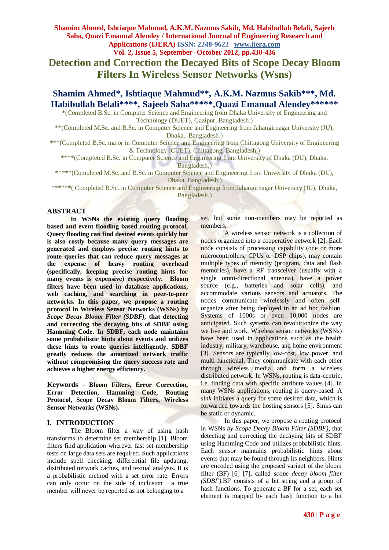**Vol. 2, Issue 5, September- October 2012, pp.430-436**

**Detection and Correction the Decayed Bits of Scope Decay Bloom Filters In Wireless Sensor Networks (Wsns)**

**Shamim Ahmed\*, Ishtiaque Mahmud\*\*, A.K.M. Nazmus Sakib\*\*\*, Md. Habibullah Belali\*\*\*\*, Sajeeb Saha\*\*\*\*\*,Quazi Emanual Alendey\*\*\*\*\*\***

\*(Completed B.Sc. in Computer Science and Engineering from Dhaka University of Engineering and Technology (DUET), Gazipur, Bangladesh.)

\*\*(Completed M.Sc. and B.Sc. in Computer Science and Engineering from Jahangirnagar University (JU), Dhaka, Bangladesh.)

\*\*\*(Completed B.Sc. major in Computer Science and Engineering from Chittagong University of Engineering & Technology (CUET), Chittagong, Bangladesh.)

\*\*\*\*(Completed B.Sc. in Computer Science and Engineering from University of Dhaka (DU), Dhaka, Bangladesh,)

\*\*\*\*\*(Completed M.Sc. and B.Sc. in Computer Science and Engineering from University of Dhaka (DU),

Dhaka, Bangladesh,)

\*\*\*\*\*\*( Completed B.Sc. in Computer Science and Engineering from Jahangirnagar University (JU), Dhaka, Bangladesh.)

### **ABSTRACT**

**In WSNs the existing query flooding based and event flooding based routing protocol, Query flooding can find desired events quickly but is also costly because many query messages are generated and employs precise routing hints to route queries that can reduce query messages at the expense of heavy routing overhead (specifically, keeping precise routing hints for many events is expensive) respectively. Bloom filters have been used in database applications, web caching, and searching in peer-to-peer networks. In this paper, we propose a routing protocol in Wireless Sensor Networks (WSNs) by**  *Scope Decay Bloom Filter (SDBF),* **that detecting and correcting the decaying bits of SDBF using Hamming Code. In SDBF, each node maintains some probabilistic hints about events and utilizes these hints to route queries intelligently. SDBF greatly reduces the amortized network traffic without compromising the query success rate and achieves a higher energy efficiency.**

**Keywords - Bloom Filters, Error Correction, Error Detection, Hamming Code, Routing Protocol, Scope Decay Bloom Filters, Wireless Sensor Networks (WSNs).**

## **I. INTRODUCTION**

The Bloom filter a way of using hash transforms to determine set membership [1]. Bloom filters find application wherever fast set membership tests on large data sets are required. Such applications include spell checking, differential file updating, distributed network caches, and textual analysis. It is a probabilistic method with a set error rate. Errors can only occur on the side of inclusion | a true member will never be reported as not belonging to a

set, but some non-members may be reported as members.

A wireless sensor network is a collection of nodes organized into a cooperative network [2]. Each node consists of processing capability (one or more microcontrollers, CPUs or DSP chips), may contain multiple types of memory (program, data and flash memories), have a RF transceiver (usually with a single omni-directional antenna), have a power source (e.g., batteries and solar cells), and accommodate various sensors and actuators. The nodes communicate wirelessly and often selforganize after being deployed in an ad hoc fashion. Systems of 1000s or even 10,000 nodes are anticipated. Such systems can revolutionize the way we live and work. Wireless sensor networks (WSNs) have been used in applications such as the health industry, military, warehouse, and home environment [3]. Sensors are typically low-cost, low power, and multi-functional. They communicate with each other through wireless media and form a wireless distributed network. In WSNs, routing is data-centric, i.e. finding data with specific attribute values [4]. In many WSNs applications, routing is query-based. A *sink* initiates a query for some desired data, which is forwarded towards the hosting sensors [5]. Sinks can be static or dynamic.

In this paper, we propose a routing protocol in WSNs *by Scope Decay Bloom Filter (SDBF)*, that detecting and correcting the decaying bits of SDBF using Hamming Code and utilizes probabilistic hints. Each sensor maintains probabilistic hints about events that may be found through its neighbors. Hints are encoded using the proposed variant of the bloom filter (BF) [6] [7], called *scope decay bloom filter (SDBF)*.BF consists of a bit string and a group of hash functions. To generate a BF for a set, each set element is mapped by each hash function to a bit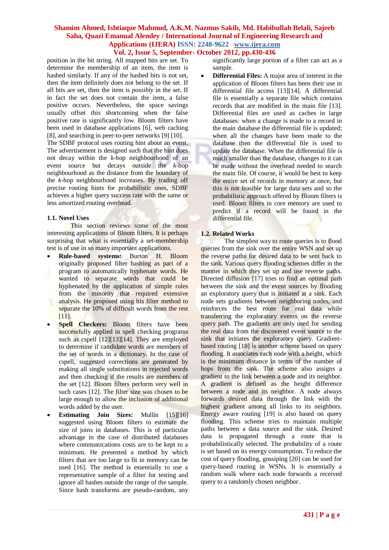# **Vol. 2, Issue 5, September- October 2012, pp.430-436**

position in the bit string. All mapped bits are set. To determine the membership of an item, the item is hashed similarly. If any of the hashed bits is not set, then the item definitely does not belong to the set. If all bits are set, then the item is *possibly* in the set. If in fact the set does not contain the item, a false positive occurs. Nevertheless, the space savings usually offset this shortcoming when the false positive rate is significantly low. Bloom filters have been used in database applications [6], web caching [8], and searching in peer-to-peer networks [9] [10].

The SDBF protocol uses routing hint about an event. The advertisement is designed such that the hint does not decay within the *k*-hop neighbourhood of an event source but decays outside the *k*-hop neighbourhood as the distance from the boundary of the *k*-hop neighbourhood increases. By trading off precise routing hints for probabilistic ones, SDBF achieves a higher query success rate with the same or less amortized routing overhead.

#### **1.1. Novel Uses**

This section reviews some of the most interesting applications of Bloom filters. It is perhaps surprising that what is essentially a set-membership test is of use in so many important applications.

- **Rule-based systems:** Burton H. Bloom originally proposed filter hashing as part of a program to automatically hyphenate words. He wanted to separate words that could be hyphenated by the application of simple rules from the minority that required extensive analysis. He proposed using his filter method to separate the 10% of difficult words from the rest [11].
- **Spell Checkers:** Bloom filters have been successfully applied in spell checking programs such as cspell [12][13][14]. They are employed to determine if candidate words are members of the set of words in a dictionary. In the case of cspell, suggested corrections are generated by making all single substitutions in rejected words and then checking if the results are members of the set [12]. Bloom filters perform very well in such cases [12]. The filter size was chosen to be large enough to allow the inclusion of additional words added by the user.
- **Estimating Join Sizes:** Mullin [15][16] suggested using Bloom filters to estimate the size of joins in databases. This is of particular advantage in the case of distributed databases where communications costs are to be kept to a minimum. He presented a method by which filters that are too large to fit in memory can be used [16]. The method is essentially to use a representative sample of a filter for testing and ignore all hashes outside the range of the sample. Since hash transforms are pseudo-random, any

significantly large portion of a filter can act as a sample.

 **Differential Files:** A major area of interest in the application of Bloom filters has been their use in differential file access [13][14]. A differential file is essentially a separate file which contains records that are modified in the main file [13]. Differential files are used as caches in large databases: when a change is made to a record in the main database the differential file is updated; when all the changes have been made to the database then the differential file is used to update the database. When the differential file is much smaller than the database, changes to it can be made without the overhead needed to search the main file. Of course, it would be best to keep the entire set of records in memory at once, but this is not feasible for large data sets and so the probabilistic approach offered by Bloom filters is used. Bloom filters in core memory are used to predict if a record will be found in the differential file.

### **1.2. Related Works**

The simplest way to route queries is to flood queries from the sink over the entire WSN and set up the reverse paths for desired data to be sent back to the sink. Various query flooding schemes differ in the manner in which they set up and use reverse paths. Directed diffusion [17] tries to find an optimal path between the sink and the event sources by flooding an exploratory query that is initiated at a sink. Each node sets gradients between neighboring nodes, and reinforces the best route for real data while transferring the exploratory events on the reverse query path. The gradients are only used for sending the real data from the discovered event source to the sink that initiates the exploratory query. Gradientbased routing [18] is another scheme based on query flooding. It associates each node with a height, which is the minimum distance in terms of the number of hops from the sink. The scheme also assigns a gradient to the link between a node and its neighbor. A gradient is defined as the height difference between a node and its neighbor. A node always forwards desired data through the link with the highest gradient among all links to its neighbors. Energy aware routing [19] is also based on query flooding. This scheme tries to maintain multiple paths between a data source and the sink. Desired data is propagated through a route that is probabilistically selected. The probability of a route is set based on its energy consumption. To reduce the cost of query flooding, gossiping [20] can be used for query-based routing in WSNs. It is essentially a random walk where each node forwards a received query to a randomly chosen neighbor.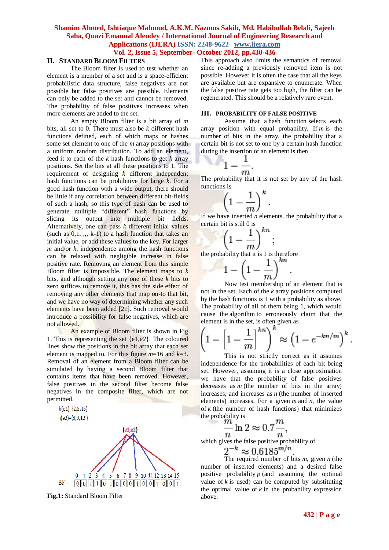## **Vol. 2, Issue 5, September- October 2012, pp.430-436**

## **II. STANDARD BLOOM FILTERS**

The Bloom filter is used to test whether an element is a member of a set and is a space-efficient probabilistic data structure, false negatives are not possible but false positives are possible. Elements can only be added to the set and cannot be removed. The probability of false positives increases when more elements are added to the set.

An empty Bloom filter is a bit array of *m*  bits, all set to 0. There must also be *k* different hash functions defined, each of which maps or hashes some set element to one of the *m* array positions with a uniform random distribution. To add an element, feed it to each of the *k* hash functions to get *k* array positions. Set the bits at all these positions to 1. The requirement of designing *k* different independent hash functions can be prohibitive for large *k*. For a good hash function with a wide output, there should be little if any correlation between different bit-fields of such a hash, so this type of hash can be used to generate multiple "different" hash functions by slicing its output into multiple bit fields. Alternatively, one can pass *k* different initial values (such as  $0,1, \ldots$ , k-1) to a hash function that takes an initial value, or add these values to the key. For larger  $m$  and/or  $k$ , independence among the hash functions can be relaxed with negligible increase in false positive rate. Removing an element from this simple Bloom filter is impossible. The element maps to *k*  bits, and although setting any one of these *k* bits to zero suffices to remove it, this has the side effect of removing any other elements that map on-to that bit, and we have no way of determining whether any such elements have been added [21]. Such removal would introduce a possibility for false negatives, which are not allowed.

An example of Bloom filter is shown in Fig 1. This is representing the set {e1*,e2*}. The coloured lines show the positions in the bit array that each set element is mapped to. For this figure  $m=16$  and  $k=3$ . Removal of an element from a Bloom filter can be simulated by having a second Bloom filter that contains items that have been removed. However, false positives in the second filter become false negatives in the composite filter, which are not permitted.



**Fig.1:** Standard Bloom Filter

This approach also limits the semantics of removal since re-adding a previously removed item is not possible. However it is often the case that all the keys are available but are expansive to enumerate. When the false positive rate gets too high, the filter can be regenerated. This should be a relatively rare event.

#### **III. PROBABILITY OF FALSE POSITIVE**

Assume that a [hash function](http://en.wikipedia.org/wiki/Hash_function) selects each array position with equal probability. If *m* is the number of bits in the array, the probability that a certain bit is not set to one by a certain hash function during the insertion of an element is then

$$
1-\frac{1}{m}
$$
.

The probability that it is not set by any of the hash functions is

$$
\left(1-\frac{1}{m}\right)^k
$$

If we have inserted *n* elements, the probability that a certain bit is still 0 is

$$
\left(1-\frac{1}{m}\right)^{kn}
$$

the probability that it is 1 is therefore

$$
1-\left(1-\frac{1}{m}\right)^{kn}.
$$

Now test membership of an element that is not in the set. Each of the *k* array positions computed by the hash functions is 1 with a probability as above. The probability of all of them being 1, which would cause the [algorithm](http://en.wikipedia.org/wiki/Algorithm) to erroneously claim that the element is in the set, is often given as

$$
\left(1 - \left[1 - \frac{1}{m}\right]^{kn}\right)^k \approx \left(1 - e^{-kn/m}\right)^k.
$$

This is not strictly correct as it assumes independence for the probabilities of each bit being set. However, assuming it is a close approximation we have that the probability of false positives decreases as  $m$  (the number of bits in the array) increases, and increases as *n* (the number of inserted elements) increases. For a given *m* and *n*, the value of  $k$  (the number of hash functions) that minimizes the probability is  $\boldsymbol{m}$ 

$$
\frac{m}{n}\ln 2 \approx 0.7 \frac{m}{n},
$$

which gives the false positive probability of

$$
2^{-k} \approx 0.6185^{m/n}
$$

The required number of bits *m*, given *n* (the number of inserted elements) and a desired false positive probability *p* (and assuming the optimal value of  $k$  is used) can be computed by substituting the optimal value of  $k$  in the probability expression above: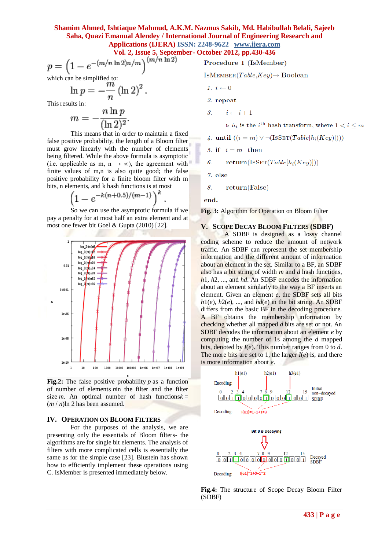**Vol. 2, Issue 5, September- October 2012, pp.430-436**

$$
p = \left(1 - e^{-(m/n \ln 2)n/m}\right)^{(m/n \ln 2)}
$$

which can be simplified to:

$$
\ln p = -\frac{m}{n} (\ln 2)^2
$$

 $\sim$  1 $\sim$   $\sim$ 

This results in:

$$
m = -\frac{n \ln p}{(\ln 2)^2}.
$$

This means that in order to maintain a fixed false positive probability, the length of a Bloom filter must grow linearly with the number of elements being filtered. While the above formula is asymptotic (i.e. applicable as m, n  $\rightarrow \infty$ ), the agreement with finite values of m,n is also quite good; the false positive probability for a finite bloom filter with m bits, n elements, and k hash functions is at most

$$
\left(1 - e^{-k(n+0.5)/(m-1)}\right)^k
$$

So we can use the asymptotic formula if we pay a penalty for at most half an extra element and at most one fewer bit [Goel & Gupta \(2010\)](Bloom_filter.htm#CITEREFGoelGupta2010#CITEREFGoelGupta2010) [22].



**Fig.2:** The false positive probability  $p$  as a function of number of elements *n*in the filter and the filter size *m*. An optimal number of hash functions $k =$  $(m/n)$ ln 2 has been assumed.

#### **IV. OPERATION ON BLOOM FILTERS**

For the purposes of the analysis, we are presenting only the essentials of Bloom filters- the algorithms are for single bit elements. The analysis of filters with more complicated cells is essentially the same as for the simple case [23]. Blustein has shown how to efficiently implement these operations using C. IsMember is presented immediately below.

Procedure 1 (IsMember)

ISMEMBER(Table,  $Key$ )  $\rightarrow$  Boolean

$$
1. \, i \leftarrow 0
$$

2. repeat

 $i \leftarrow i + 1$  $\mathcal{S}$ 

 $\triangleright h_i$  is the *i*<sup>th</sup> hash transform, where  $1 < i \leq m$ 

4. until 
$$
((i = m) \vee \neg (\text{ISSET}(Table[h_i(Key)])))
$$

5. if  $i = m$  then

 $return(IsSET(Table[h_i(Key)]))$ 6.

7. else

 $return(False)$ 8.

end.

**Fig. 3:** Algorithm for Operation on Bloom Filter

#### **V. SCOPE DECAY BLOOM FILTERS (SDBF)**

A SDBF is designed as a lossy channel coding scheme to reduce the amount of network traffic. An SDBF can represent the set membership information and the different amount of information about an element in the set. Similar to a BF, an SDBF also has a bit string of width *m* and *d* hash functions, *h*1, *h*2, ..., and *hd*. An SDBF encodes the information about an element similarly to the way a BF inserts an element. Given an element *e*, the SDBF sets all bits  $h1(e)$ ,  $h2(e)$ , ..., and  $hd(e)$  in the bit string. An SDBF differs from the basic BF in the decoding procedure. A BF obtains the membership information by checking whether all mapped *d* bits are set or not. An SDBF decodes the information about an element *e* by computing the number of 1s among the *d* mapped bits, denoted by *I*(*e*). This number ranges from 0 to *d*. The more bits are set to 1, the larger  $I(e)$  is, and there is more information about *e*.



**Fig.4:** The structure of Scope Decay Bloom Filter (SDBF)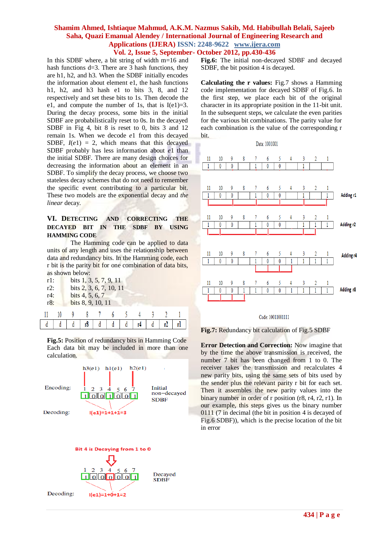## **Shamim Ahmed, Ishtiaque Mahmud, A.K.M. Nazmus Sakib, Md. Habibullah Belali, Sajeeb Saha, Quazi Emanual Alendey / International Journal of Engineering Research and Applications (IJERA) ISSN: 2248-9622 www.ijera.com Vol. 2, Issue 5, September- October 2012, pp.430-436**

In this SDBF where, a bit string of width m=16 and hash functions d=3. There are 3 hash functions, they are h1, h2, and h3. When the SDBF initially encodes the information about element e1, the hash functions h1, h2, and h3 hash e1 to bits 3, 8, and 12 respectively and set these bits to 1s. Then decode the e1, and compute the number of 1s, that is  $I(e1)=3$ . During the decay process, some bits in the initial SDBF are probabilistically reset to 0s. In the decayed SDBF in Fig 4, bit 8 is reset to 0, bits 3 and 12 remain 1s. When we decode *e*1 from this decayed SDBF,  $I(e1) = 2$ , which means that this decayed SDBF probably has less information about *e*1 than the initial SDBF. There are many design choices for decreasing the information about an element in an SDBF. To simplify the decay process, we choose two stateless decay schemes that do not need to remember the specific event contributing to a particular bit. These two models are the exponential decay and *the linear* decay.

## VI. DETECTING AND CORRECTING THE **DECAYED BIT IN THE SDBF BY USING HAMMING CODE**

The Hamming code can be applied to data units of any length and uses the relationship between data and redundancy bits. In the Hamming code, each r bit is the parity bit for one combination of data bits, as shown below:

| r1:<br>$r2$ :<br>$r4$ :<br>$r8$ : |  | bits $1, 3, 5, 7, 9, 11$<br>bits 2, 3, 6, 7, 10, 11<br>bits 4, 5, 6, 7<br>bits 8, 9, 10, 11 |  |  |  |  |  |  |  |  |
|-----------------------------------|--|---------------------------------------------------------------------------------------------|--|--|--|--|--|--|--|--|
|                                   |  |                                                                                             |  |  |  |  |  |  |  |  |
|                                   |  |                                                                                             |  |  |  |  |  |  |  |  |

**Fig.5:** Position of redundancy bits in Hamming Code Each data bit may be included in more than one calculation.



**Fig.6:** The initial non-decayed SDBF and decayed SDBF, the bit position 4 is decayed.

**Calculating the r values:** Fig.7 shows a Hamming code implementation for decayed SDBF of Fig.6. In the first step, we place each bit of the original character in its appropriate position in the 11-bit unit. In the subsequent steps, we calculate the even parities for the various bit combinations. The parity value for each combination is the value of the corresponding r bit.





#### Code: 10011001111



**Error Detection and Correction:** Now imagine that by the time the above transmission is received, the number 7 bit has been changed from 1 to 0. The receiver takes the transmission and recalculates 4 new parity bits, using the same sets of bits used by the sender plus the relevant parity r bit for each set. Then it assembles the new parity values into the binary number in order of r position (r8, r4, r2, r1). In our example, this steps gives us the binary number 0111 (7 in decimal (the bit in position 4 is decayed of Fig.6 SDBF)), which is the precise location of the bit in error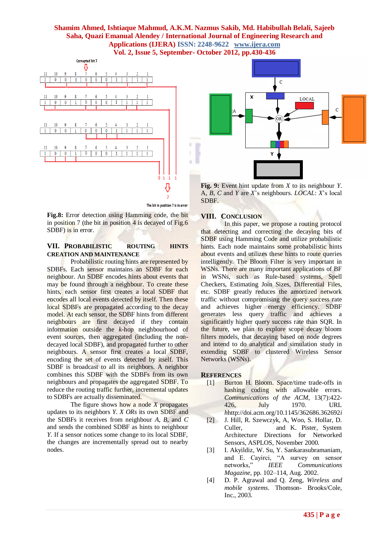## **Shamim Ahmed, Ishtiaque Mahmud, A.K.M. Nazmus Sakib, Md. Habibullah Belali, Sajeeb Saha, Quazi Emanual Alendey / International Journal of Engineering Research and Applications (IJERA) ISSN: 2248-9622 www.ijera.com Vol. 2, Issue 5, September- October 2012, pp.430-436**

×



The bit in position 7 is in error

**Fig.8:** Error detection using Hamming code, the bit in position 7 (the bit in position  $4$  is decayed of Fig.6 SDBF) is in error.

## **VII. PROBABILISTIC ROUTING HINTS CREATION AND MAINTENANCE**

Probabilistic routing hints are represented by SDBFs. Each sensor maintains an SDBF for each neighbour. An SDBF encodes hints about events that may be found through a neighbour. To create these hints, each sensor first creates a local SDBF that encodes all local events detected by itself. Then these local SDBFs are propagated according to the decay model. At each sensor, the SDBF hints from different neighbours are first decayed if they contain information outside the *k*-hop neighbourhood of event sources, then aggregated (including the nondecayed local SDBF), and propagated further to other neighbours. A sensor first creates a local SDBF, encoding the set of events detected by itself. This SDBF is broadcast to all its neighbors. A neighbor combines this SDBF with the SDBFs from its own neighbours and propagates the aggregated SDBF. To reduce the routing traffic further, incremental updates to SDBFs are actually disseminated.

The figure shows how a node *X* propagates updates to its neighbors *Y*. *X ORs* its own SDBF and the SDBFs it receives from neighbour *A*, *B*, and *C* and sends the combined SDBF as hints to neighbour *Y*. If a sensor notices some change to its local SDBF, the changes are incrementally spread out to nearby nodes.



**Fig. 9:** Event hint update from *X* to its neighbour *Y*. A, *B*, *C* and *Y* are *X*'s neighbours. *LOCAL*: *X*'s local SDBF.

### **VIII. CONCLUSION**

In this paper, we propose a routing protocol that detecting and correcting the decaying bits of SDBF using Hamming Code and utilize probabilistic hints. Each node maintains some probabilistic hints about events and utilizes these hints to route queries intelligently. The Bloom Filter is very important in WSNs. There are many important applications of BF in WSNs, such as Rule-based systems, Spell Checkers, Estimating Join Sizes, Differential Files, etc. SDBF greatly reduces the amortized network traffic without compromising the query success rate and achieves higher energy efficiency. SDBF generates less query traffic and achieves a significantly higher query success rate than SQR. In the future, we plan to explore scope decay bloom filters models, that decaying based on node degrees and intend to do analytical and simulation study in extending SDBF to clustered Wireless Sensor Networks (WSNs).

#### **REFERENCES**

- [1] Burton H. Bloom. Space/time trade-offs in hashing coding with allowable errors. *Communications of the ACM*, 13(7):422- 426, July 1970. URL *h*http://doi.acm.org/10.1145/362686.362692*i*
- [2] J. Hill, R. Szewczyk, A, Woo, S. Hollar, D. Culler, and K. Pister, System Architecture Directions for Networked Sensors, ASPLOS, November 2000.
- [3] I. Akyildiz, W. Su, Y. Sankarasubramaniam, and E. Cayirci, "A survey on sensor networks," *IEEE Communications Magazine*, pp. 102–114, Aug. 2002.
- [4] D. P. Agrawal and Q. Zeng, *Wireless and mobile systems*. Thomson- Brooks/Cole, Inc., 2003.